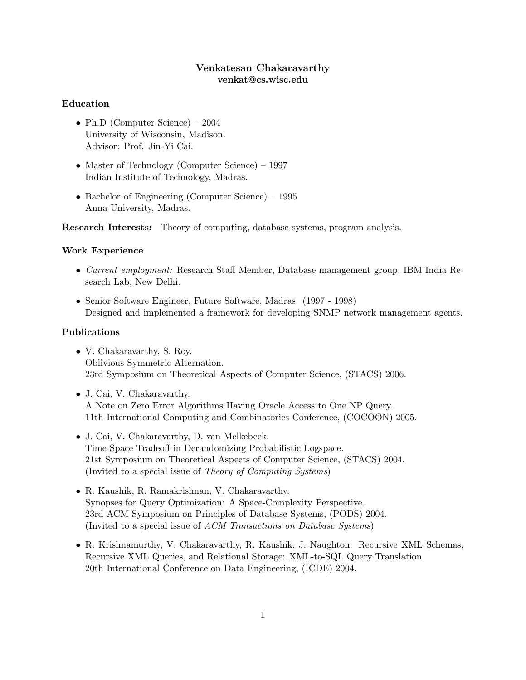## Venkatesan Chakaravarthy venkat@cs.wisc.edu

### Education

- Ph.D (Computer Science) 2004 University of Wisconsin, Madison. Advisor: Prof. Jin-Yi Cai.
- Master of Technology (Computer Science) 1997 Indian Institute of Technology, Madras.
- Bachelor of Engineering (Computer Science) 1995 Anna University, Madras.

Research Interests: Theory of computing, database systems, program analysis.

#### Work Experience

- Current employment: Research Staff Member, Database management group, IBM India Research Lab, New Delhi.
- Senior Software Engineer, Future Software, Madras. (1997 1998) Designed and implemented a framework for developing SNMP network management agents.

# Publications

- V. Chakaravarthy, S. Roy. Oblivious Symmetric Alternation. 23rd Symposium on Theoretical Aspects of Computer Science, (STACS) 2006.
- J. Cai, V. Chakaravarthy. A Note on Zero Error Algorithms Having Oracle Access to One NP Query. 11th International Computing and Combinatorics Conference, (COCOON) 2005.
- J. Cai, V. Chakaravarthy, D. van Melkebeek. Time-Space Tradeoff in Derandomizing Probabilistic Logspace. 21st Symposium on Theoretical Aspects of Computer Science, (STACS) 2004. (Invited to a special issue of Theory of Computing Systems)
- R. Kaushik, R. Ramakrishnan, V. Chakaravarthy. Synopses for Query Optimization: A Space-Complexity Perspective. 23rd ACM Symposium on Principles of Database Systems, (PODS) 2004. (Invited to a special issue of ACM Transactions on Database Systems)
- R. Krishnamurthy, V. Chakaravarthy, R. Kaushik, J. Naughton. Recursive XML Schemas, Recursive XML Queries, and Relational Storage: XML-to-SQL Query Translation. 20th International Conference on Data Engineering, (ICDE) 2004.